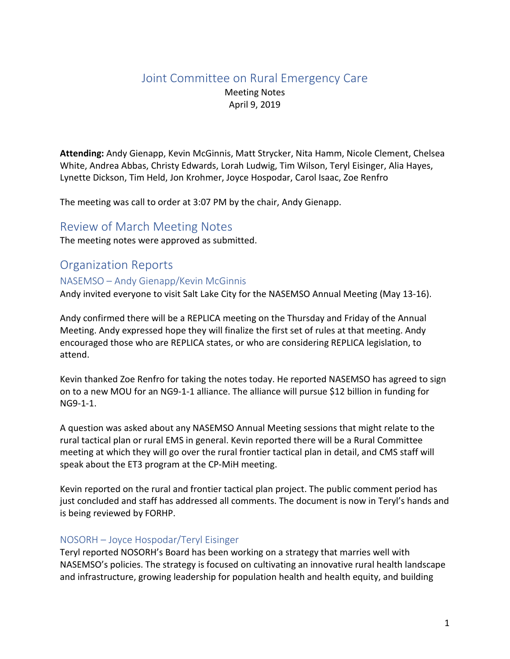# Joint Committee on Rural Emergency Care

Meeting Notes April 9, 2019

**Attending:** Andy Gienapp, Kevin McGinnis, Matt Strycker, Nita Hamm, Nicole Clement, Chelsea White, Andrea Abbas, Christy Edwards, Lorah Ludwig, Tim Wilson, Teryl Eisinger, Alia Hayes, Lynette Dickson, Tim Held, Jon Krohmer, Joyce Hospodar, Carol Isaac, Zoe Renfro

The meeting was call to order at 3:07 PM by the chair, Andy Gienapp.

## Review of March Meeting Notes

The meeting notes were approved as submitted.

## Organization Reports

#### NASEMSO – Andy Gienapp/Kevin McGinnis

Andy invited everyone to visit Salt Lake City for the NASEMSO Annual Meeting (May 13-16).

Andy confirmed there will be a REPLICA meeting on the Thursday and Friday of the Annual Meeting. Andy expressed hope they will finalize the first set of rules at that meeting. Andy encouraged those who are REPLICA states, or who are considering REPLICA legislation, to attend.

Kevin thanked Zoe Renfro for taking the notes today. He reported NASEMSO has agreed to sign on to a new MOU for an NG9-1-1 alliance. The alliance will pursue \$12 billion in funding for NG9-1-1.

A question was asked about any NASEMSO Annual Meeting sessions that might relate to the rural tactical plan or rural EMS in general. Kevin reported there will be a Rural Committee meeting at which they will go over the rural frontier tactical plan in detail, and CMS staff will speak about the ET3 program at the CP-MiH meeting.

Kevin reported on the rural and frontier tactical plan project. The public comment period has just concluded and staff has addressed all comments. The document is now in Teryl's hands and is being reviewed by FORHP.

#### NOSORH – Joyce Hospodar/Teryl Eisinger

Teryl reported NOSORH's Board has been working on a strategy that marries well with NASEMSO's policies. The strategy is focused on cultivating an innovative rural health landscape and infrastructure, growing leadership for population health and health equity, and building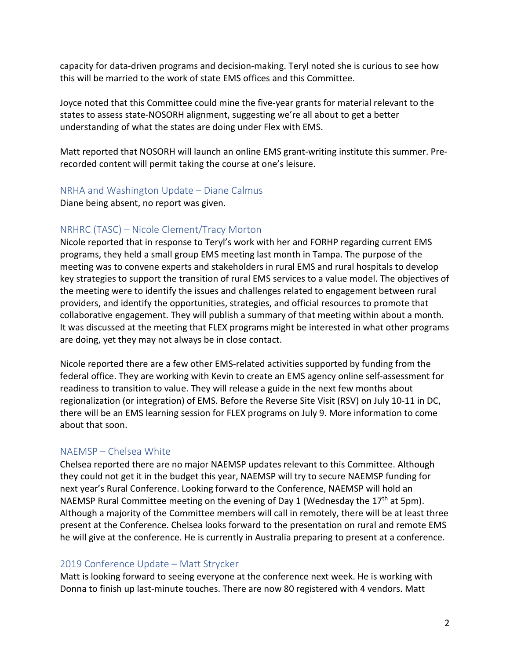capacity for data-driven programs and decision-making. Teryl noted she is curious to see how this will be married to the work of state EMS offices and this Committee.

Joyce noted that this Committee could mine the five-year grants for material relevant to the states to assess state-NOSORH alignment, suggesting we're all about to get a better understanding of what the states are doing under Flex with EMS.

Matt reported that NOSORH will launch an online EMS grant-writing institute this summer. Prerecorded content will permit taking the course at one's leisure.

#### NRHA and Washington Update – Diane Calmus

Diane being absent, no report was given.

## NRHRC (TASC) – Nicole Clement/Tracy Morton

Nicole reported that in response to Teryl's work with her and FORHP regarding current EMS programs, they held a small group EMS meeting last month in Tampa. The purpose of the meeting was to convene experts and stakeholders in rural EMS and rural hospitals to develop key strategies to support the transition of rural EMS services to a value model. The objectives of the meeting were to identify the issues and challenges related to engagement between rural providers, and identify the opportunities, strategies, and official resources to promote that collaborative engagement. They will publish a summary of that meeting within about a month. It was discussed at the meeting that FLEX programs might be interested in what other programs are doing, yet they may not always be in close contact.

Nicole reported there are a few other EMS-related activities supported by funding from the federal office. They are working with Kevin to create an EMS agency online self-assessment for readiness to transition to value. They will release a guide in the next few months about regionalization (or integration) of EMS. Before the Reverse Site Visit (RSV) on July 10-11 in DC, there will be an EMS learning session for FLEX programs on July 9. More information to come about that soon.

## NAEMSP – Chelsea White

Chelsea reported there are no major NAEMSP updates relevant to this Committee. Although they could not get it in the budget this year, NAEMSP will try to secure NAEMSP funding for next year's Rural Conference. Looking forward to the Conference, NAEMSP will hold an NAEMSP Rural Committee meeting on the evening of Day 1 (Wednesday the 17<sup>th</sup> at 5pm). Although a majority of the Committee members will call in remotely, there will be at least three present at the Conference. Chelsea looks forward to the presentation on rural and remote EMS he will give at the conference. He is currently in Australia preparing to present at a conference.

#### 2019 Conference Update – Matt Strycker

Matt is looking forward to seeing everyone at the conference next week. He is working with Donna to finish up last-minute touches. There are now 80 registered with 4 vendors. Matt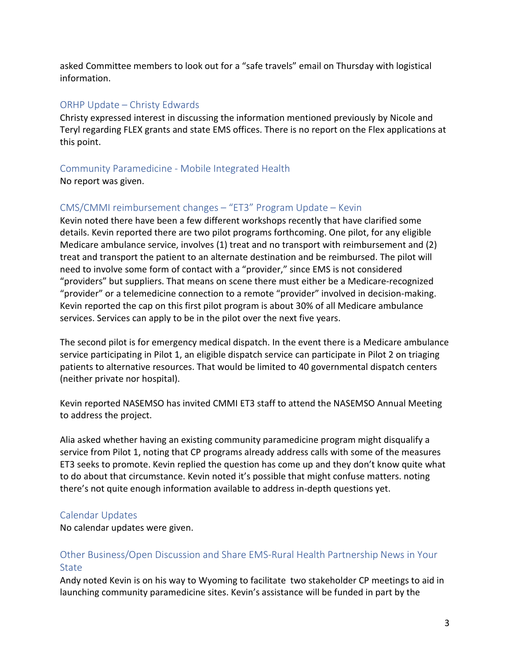asked Committee members to look out for a "safe travels" email on Thursday with logistical information.

### ORHP Update – Christy Edwards

Christy expressed interest in discussing the information mentioned previously by Nicole and Teryl regarding FLEX grants and state EMS offices. There is no report on the Flex applications at this point.

#### Community Paramedicine - Mobile Integrated Health

No report was given.

## CMS/CMMI reimbursement changes – "ET3" Program Update – Kevin

Kevin noted there have been a few different workshops recently that have clarified some details. Kevin reported there are two pilot programs forthcoming. One pilot, for any eligible Medicare ambulance service, involves (1) treat and no transport with reimbursement and (2) treat and transport the patient to an alternate destination and be reimbursed. The pilot will need to involve some form of contact with a "provider," since EMS is not considered "providers" but suppliers. That means on scene there must either be a Medicare-recognized "provider" or a telemedicine connection to a remote "provider" involved in decision-making. Kevin reported the cap on this first pilot program is about 30% of all Medicare ambulance services. Services can apply to be in the pilot over the next five years.

The second pilot is for emergency medical dispatch. In the event there is a Medicare ambulance service participating in Pilot 1, an eligible dispatch service can participate in Pilot 2 on triaging patients to alternative resources. That would be limited to 40 governmental dispatch centers (neither private nor hospital).

Kevin reported NASEMSO has invited CMMI ET3 staff to attend the NASEMSO Annual Meeting to address the project.

Alia asked whether having an existing community paramedicine program might disqualify a service from Pilot 1, noting that CP programs already address calls with some of the measures ET3 seeks to promote. Kevin replied the question has come up and they don't know quite what to do about that circumstance. Kevin noted it's possible that might confuse matters. noting there's not quite enough information available to address in-depth questions yet.

## Calendar Updates

No calendar updates were given.

## Other Business/Open Discussion and Share EMS-Rural Health Partnership News in Your State

Andy noted Kevin is on his way to Wyoming to facilitate two stakeholder CP meetings to aid in launching community paramedicine sites. Kevin's assistance will be funded in part by the